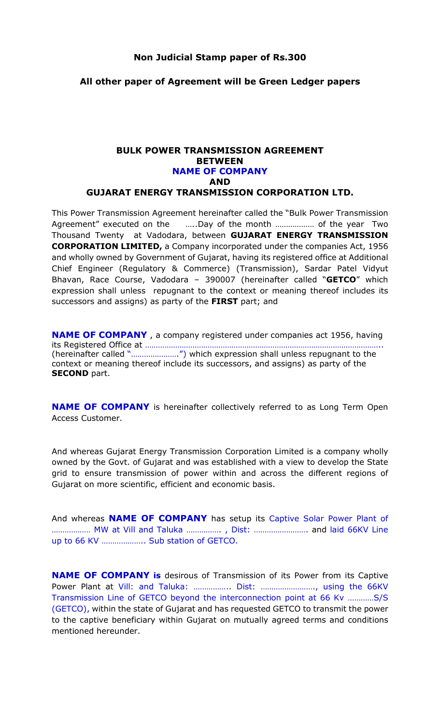#### Non Judicial Stamp paper of Rs.300

#### All other paper of Agreement will be Green Ledger papers

#### BULK POWER TRANSMISSION AGREEMENT BETWEEN NAME OF COMPANY AND GUJARAT ENERGY TRANSMISSION CORPORATION LTD.

This Power Transmission Agreement hereinafter called the "Bulk Power Transmission Agreement" executed on the …..Day of the month ……………… of the year Two Thousand Twenty at Vadodara, between GUJARAT ENERGY TRANSMISSION CORPORATION LIMITED, a Company incorporated under the companies Act, 1956 and wholly owned by Government of Gujarat, having its registered office at Additional Chief Engineer (Regulatory & Commerce) (Transmission), Sardar Patel Vidyut Bhavan, Race Course, Vadodara - 390007 (hereinafter called "GETCO" which expression shall unless repugnant to the context or meaning thereof includes its successors and assigns) as party of the FIRST part; and

NAME OF COMPANY , a company registered under companies act 1956, having its Registered Office at ……………………………………………………………………………………………….. (hereinafter called "………………….") which expression shall unless repugnant to the context or meaning thereof include its successors, and assigns) as party of the **SECOND** part.

NAME OF COMPANY is hereinafter collectively referred to as Long Term Open Access Customer.

And whereas Gujarat Energy Transmission Corporation Limited is a company wholly owned by the Govt. of Gujarat and was established with a view to develop the State grid to ensure transmission of power within and across the different regions of Gujarat on more scientific, efficient and economic basis.

And whereas **NAME OF COMPANY** has setup its Captive Solar Power Plant of ……………… MW at Vill and Taluka ……………. , Dist: ……………………. and laid 66KV Line up to 66 KV ……………….. Sub station of GETCO.

NAME OF COMPANY is desirous of Transmission of its Power from its Captive Power Plant at Vill: and Taluka: ................. Dist: ........................., using the 66KV Transmission Line of GETCO beyond the interconnection point at 66 Kv …………S/S (GETCO), within the state of Gujarat and has requested GETCO to transmit the power to the captive beneficiary within Gujarat on mutually agreed terms and conditions mentioned hereunder.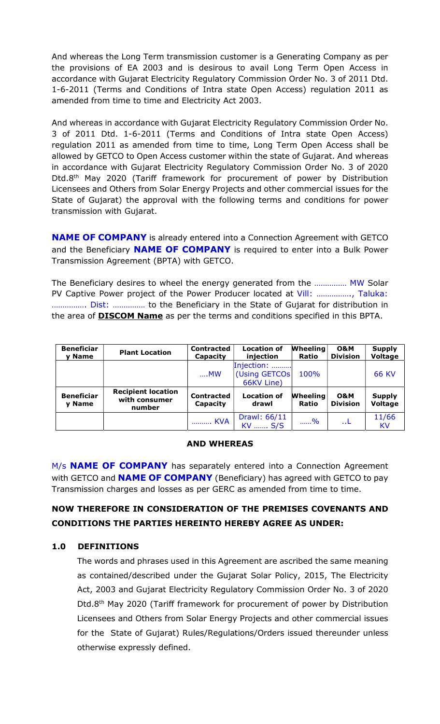And whereas the Long Term transmission customer is a Generating Company as per the provisions of EA 2003 and is desirous to avail Long Term Open Access in accordance with Gujarat Electricity Regulatory Commission Order No. 3 of 2011 Dtd. 1-6-2011 (Terms and Conditions of Intra state Open Access) regulation 2011 as amended from time to time and Electricity Act 2003.

And whereas in accordance with Gujarat Electricity Regulatory Commission Order No. 3 of 2011 Dtd. 1-6-2011 (Terms and Conditions of Intra state Open Access) regulation 2011 as amended from time to time, Long Term Open Access shall be allowed by GETCO to Open Access customer within the state of Gujarat. And whereas in accordance with Gujarat Electricity Regulatory Commission Order No. 3 of 2020 Dtd.8th May 2020 (Tariff framework for procurement of power by Distribution Licensees and Others from Solar Energy Projects and other commercial issues for the State of Gujarat) the approval with the following terms and conditions for power transmission with Gujarat.

NAME OF COMPANY is already entered into a Connection Agreement with GETCO and the Beneficiary **NAME OF COMPANY** is required to enter into a Bulk Power Transmission Agreement (BPTA) with GETCO.

The Beneficiary desires to wheel the energy generated from the …………… MW Solar PV Captive Power project of the Power Producer located at Vill: ……………., Taluka: ……………. Dist: …………… to the Beneficiary in the State of Gujarat for distribution in the area of **DISCOM Name** as per the terms and conditions specified in this BPTA.

| <b>Beneficiar</b><br>y Name | <b>Plant Location</b>                                | <b>Contracted</b><br>Capacity | <b>Location of</b><br>injection            | <b>Wheeling</b><br><b>Ratio</b> | <b>O&amp;M</b><br><b>Division</b> | <b>Supply</b><br>Voltage        |
|-----------------------------|------------------------------------------------------|-------------------------------|--------------------------------------------|---------------------------------|-----------------------------------|---------------------------------|
|                             |                                                      | $$ MW                         | Injection:<br>(Using GETCOs)<br>66KV Line) | 100%                            |                                   | <b>66 KV</b>                    |
| <b>Beneficiar</b><br>y Name | <b>Recipient location</b><br>with consumer<br>number | <b>Contracted</b><br>Capacity | <b>Location of</b><br>drawl                | <b>Wheeling</b><br><b>Ratio</b> | <b>O&amp;M</b><br><b>Division</b> | <b>Supply</b><br><b>Voltage</b> |
|                             |                                                      | KVA                           | Drawl: 66/11<br>KV  S/S                    | %                               | L                                 | 11/66<br>KV                     |

### AND WHEREAS

M/s **NAME OF COMPANY** has separately entered into a Connection Agreement with GETCO and **NAME OF COMPANY** (Beneficiary) has agreed with GETCO to pay Transmission charges and losses as per GERC as amended from time to time.

# NOW THEREFORE IN CONSIDERATION OF THE PREMISES COVENANTS AND CONDITIONS THE PARTIES HEREINTO HEREBY AGREE AS UNDER:

## 1.0 DEFINITIONS

The words and phrases used in this Agreement are ascribed the same meaning as contained/described under the Gujarat Solar Policy, 2015, The Electricity Act, 2003 and Gujarat Electricity Regulatory Commission Order No. 3 of 2020 Dtd.8th May 2020 (Tariff framework for procurement of power by Distribution Licensees and Others from Solar Energy Projects and other commercial issues for the State of Gujarat) Rules/Regulations/Orders issued thereunder unless otherwise expressly defined.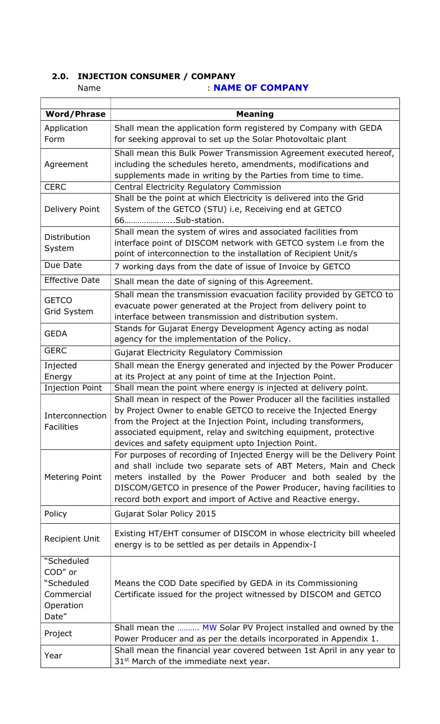# 2.0. INJECTION CONSUMER / COMPANY

Name : NAME OF COMPANY

| <b>Word/Phrase</b>                                                      | <b>Meaning</b>                                                                                                                                                                                                                                                                                                                                        |
|-------------------------------------------------------------------------|-------------------------------------------------------------------------------------------------------------------------------------------------------------------------------------------------------------------------------------------------------------------------------------------------------------------------------------------------------|
| Application<br>Form                                                     | Shall mean the application form registered by Company with GEDA<br>for seeking approval to set up the Solar Photovoltaic plant                                                                                                                                                                                                                        |
| Agreement                                                               | Shall mean this Bulk Power Transmission Agreement executed hereof,<br>including the schedules hereto, amendments, modifications and<br>supplements made in writing by the Parties from time to time.                                                                                                                                                  |
| <b>CERC</b>                                                             | Central Electricity Regulatory Commission                                                                                                                                                                                                                                                                                                             |
| Delivery Point                                                          | Shall be the point at which Electricity is delivered into the Grid<br>System of the GETCO (STU) i.e, Receiving end at GETCO<br>66Sub-station.                                                                                                                                                                                                         |
| Distribution<br>System                                                  | Shall mean the system of wires and associated facilities from<br>interface point of DISCOM network with GETCO system i.e from the<br>point of interconnection to the installation of Recipient Unit/s                                                                                                                                                 |
| Due Date                                                                | 7 working days from the date of issue of Invoice by GETCO                                                                                                                                                                                                                                                                                             |
| <b>Effective Date</b>                                                   | Shall mean the date of signing of this Agreement.                                                                                                                                                                                                                                                                                                     |
| <b>GETCO</b><br>Grid System                                             | Shall mean the transmission evacuation facility provided by GETCO to<br>evacuate power generated at the Project from delivery point to<br>interface between transmission and distribution system.                                                                                                                                                     |
| <b>GEDA</b>                                                             | Stands for Gujarat Energy Development Agency acting as nodal<br>agency for the implementation of the Policy.                                                                                                                                                                                                                                          |
| <b>GERC</b>                                                             | <b>Gujarat Electricity Regulatory Commission</b>                                                                                                                                                                                                                                                                                                      |
| Injected<br>Energy                                                      | Shall mean the Energy generated and injected by the Power Producer<br>at its Project at any point of time at the Injection Point.                                                                                                                                                                                                                     |
| <b>Injection Point</b>                                                  | Shall mean the point where energy is injected at delivery point.                                                                                                                                                                                                                                                                                      |
| Interconnection<br><b>Facilities</b>                                    | Shall mean in respect of the Power Producer all the facilities installed<br>by Project Owner to enable GETCO to receive the Injected Energy<br>from the Project at the Injection Point, including transformers,<br>associated equipment, relay and switching equipment, protective<br>devices and safety equipment upto Injection Point.              |
| Metering Point                                                          | For purposes of recording of Injected Energy will be the Delivery Point<br>and shall include two separate sets of ABT Meters, Main and Check<br>meters installed by the Power Producer and both sealed by the<br>DISCOM/GETCO in presence of the Power Producer, having facilities to<br>record both export and import of Active and Reactive energy. |
| Policy                                                                  | Gujarat Solar Policy 2015                                                                                                                                                                                                                                                                                                                             |
| <b>Recipient Unit</b>                                                   | Existing HT/EHT consumer of DISCOM in whose electricity bill wheeled<br>energy is to be settled as per details in Appendix-I                                                                                                                                                                                                                          |
| "Scheduled<br>COD" or<br>"Scheduled<br>Commercial<br>Operation<br>Date" | Means the COD Date specified by GEDA in its Commissioning<br>Certificate issued for the project witnessed by DISCOM and GETCO                                                                                                                                                                                                                         |
| Project                                                                 | Shall mean the  MW Solar PV Project installed and owned by the<br>Power Producer and as per the details incorporated in Appendix 1.                                                                                                                                                                                                                   |
| Year                                                                    | Shall mean the financial year covered between 1st April in any year to<br>31 <sup>st</sup> March of the immediate next year.                                                                                                                                                                                                                          |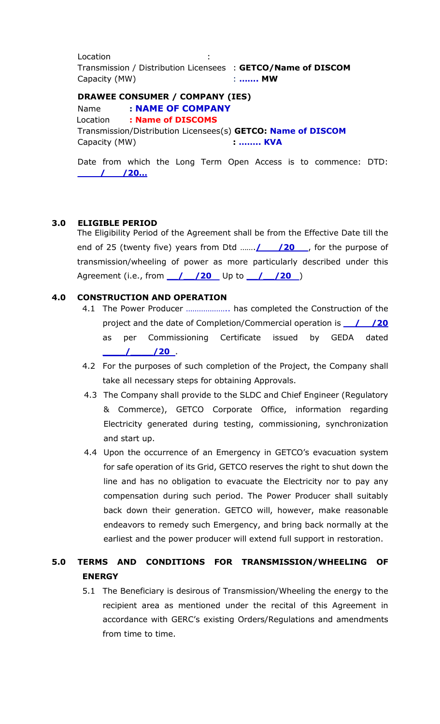**Location**  Transmission / Distribution Licensees : GETCO/Name of DISCOM Capacity (MW)  $\cdot$  ....... MW

#### DRAWEE CONSUMER / COMPANY (IES)

Name : NAME OF COMPANY Location : Name of DISCOMS Transmission/Distribution Licensees(s) GETCO: Name of DISCOM Capacity (MW) **: …….. KVA** 

Date from which the Long Term Open Access is to commence: DTD: \_\_\_\_/\_\_\_/20…

### 3.0 ELIGIBLE PERIOD

The Eligibility Period of the Agreement shall be from the Effective Date till the end of 25 (twenty five) years from Dtd ...... $\frac{1}{20}$  /20 , for the purpose of transmission/wheeling of power as more particularly described under this Agreement (i.e., from 1 /20 Up to 1 /20 )

### 4.0 CONSTRUCTION AND OPERATION

- 4.1 The Power Producer ……………….. has completed the Construction of the project and the date of Completion/Commercial operation is  $\frac{1}{20}$ as per Commissioning Certificate issued by GEDA dated  $\frac{1}{20}$ .
- 4.2 For the purposes of such completion of the Project, the Company shall take all necessary steps for obtaining Approvals.
- 4.3 The Company shall provide to the SLDC and Chief Engineer (Regulatory & Commerce), GETCO Corporate Office, information regarding Electricity generated during testing, commissioning, synchronization and start up.
- 4.4 Upon the occurrence of an Emergency in GETCO's evacuation system for safe operation of its Grid, GETCO reserves the right to shut down the line and has no obligation to evacuate the Electricity nor to pay any compensation during such period. The Power Producer shall suitably back down their generation. GETCO will, however, make reasonable endeavors to remedy such Emergency, and bring back normally at the earliest and the power producer will extend full support in restoration.

# 5.0 TERMS AND CONDITIONS FOR TRANSMISSION/WHEELING OF ENERGY

5.1 The Beneficiary is desirous of Transmission/Wheeling the energy to the recipient area as mentioned under the recital of this Agreement in accordance with GERC's existing Orders/Regulations and amendments from time to time.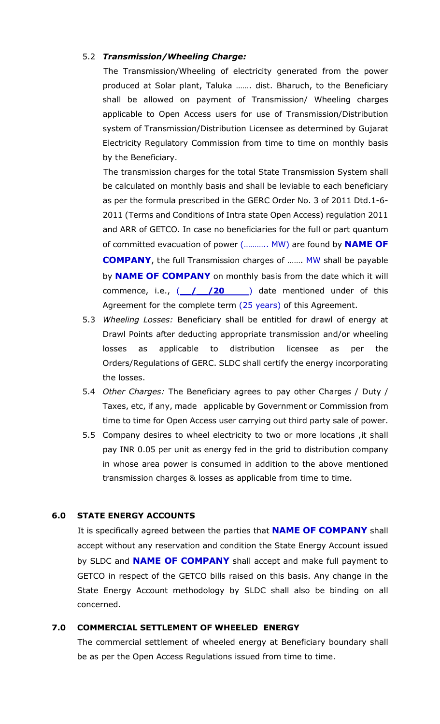#### 5.2 Transmission/Wheeling Charge:

 The Transmission/Wheeling of electricity generated from the power produced at Solar plant, Taluka ……. dist. Bharuch, to the Beneficiary shall be allowed on payment of Transmission/ Wheeling charges applicable to Open Access users for use of Transmission/Distribution system of Transmission/Distribution Licensee as determined by Gujarat Electricity Regulatory Commission from time to time on monthly basis by the Beneficiary.

 The transmission charges for the total State Transmission System shall be calculated on monthly basis and shall be leviable to each beneficiary as per the formula prescribed in the GERC Order No. 3 of 2011 Dtd.1-6- 2011 (Terms and Conditions of Intra state Open Access) regulation 2011 and ARR of GETCO. In case no beneficiaries for the full or part quantum of committed evacuation of power (........... MW) are found by **NAME OF** COMPANY, the full Transmission charges of ……. MW shall be payable by **NAME OF COMPANY** on monthly basis from the date which it will commence, i.e.,  $($  /  $/$  /20 ) date mentioned under of this Agreement for the complete term (25 years) of this Agreement.

- 5.3 Wheeling Losses: Beneficiary shall be entitled for drawl of energy at Drawl Points after deducting appropriate transmission and/or wheeling losses as applicable to distribution licensee as per the Orders/Regulations of GERC. SLDC shall certify the energy incorporating the losses.
- 5.4 Other Charges: The Beneficiary agrees to pay other Charges / Duty / Taxes, etc, if any, made applicable by Government or Commission from time to time for Open Access user carrying out third party sale of power.
- 5.5 Company desires to wheel electricity to two or more locations ,it shall pay INR 0.05 per unit as energy fed in the grid to distribution company in whose area power is consumed in addition to the above mentioned transmission charges & losses as applicable from time to time.

#### 6.0 STATE ENERGY ACCOUNTS

It is specifically agreed between the parties that **NAME OF COMPANY** shall accept without any reservation and condition the State Energy Account issued by SLDC and **NAME OF COMPANY** shall accept and make full payment to GETCO in respect of the GETCO bills raised on this basis. Any change in the State Energy Account methodology by SLDC shall also be binding on all concerned.

#### 7.0 COMMERCIAL SETTLEMENT OF WHEELED ENERGY

 The commercial settlement of wheeled energy at Beneficiary boundary shall be as per the Open Access Regulations issued from time to time.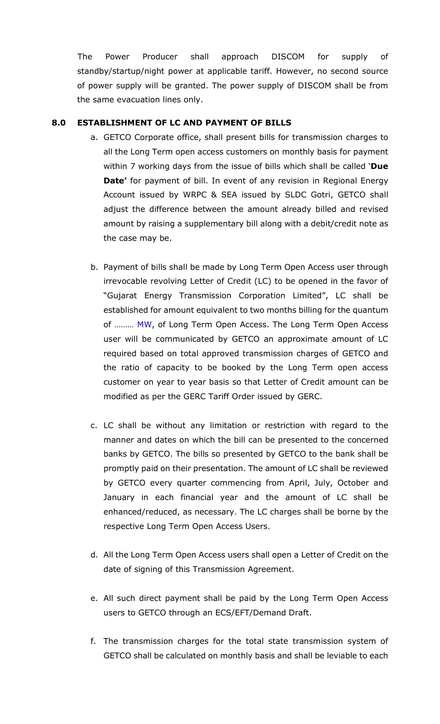The Power Producer shall approach DISCOM for supply of standby/startup/night power at applicable tariff. However, no second source of power supply will be granted. The power supply of DISCOM shall be from the same evacuation lines only.

## 8.0 ESTABLISHMENT OF LC AND PAYMENT OF BILLS

- a. GETCO Corporate office, shall present bills for transmission charges to all the Long Term open access customers on monthly basis for payment within 7 working days from the issue of bills which shall be called 'Due Date' for payment of bill. In event of any revision in Regional Energy Account issued by WRPC & SEA issued by SLDC Gotri, GETCO shall adjust the difference between the amount already billed and revised amount by raising a supplementary bill along with a debit/credit note as the case may be.
- b. Payment of bills shall be made by Long Term Open Access user through irrevocable revolving Letter of Credit (LC) to be opened in the favor of "Gujarat Energy Transmission Corporation Limited", LC shall be established for amount equivalent to two months billing for the quantum of ……… MW, of Long Term Open Access. The Long Term Open Access user will be communicated by GETCO an approximate amount of LC required based on total approved transmission charges of GETCO and the ratio of capacity to be booked by the Long Term open access customer on year to year basis so that Letter of Credit amount can be modified as per the GERC Tariff Order issued by GERC.
- c. LC shall be without any limitation or restriction with regard to the manner and dates on which the bill can be presented to the concerned banks by GETCO. The bills so presented by GETCO to the bank shall be promptly paid on their presentation. The amount of LC shall be reviewed by GETCO every quarter commencing from April, July, October and January in each financial year and the amount of LC shall be enhanced/reduced, as necessary. The LC charges shall be borne by the respective Long Term Open Access Users.
- d. All the Long Term Open Access users shall open a Letter of Credit on the date of signing of this Transmission Agreement.
- e. All such direct payment shall be paid by the Long Term Open Access users to GETCO through an ECS/EFT/Demand Draft.
- f. The transmission charges for the total state transmission system of GETCO shall be calculated on monthly basis and shall be leviable to each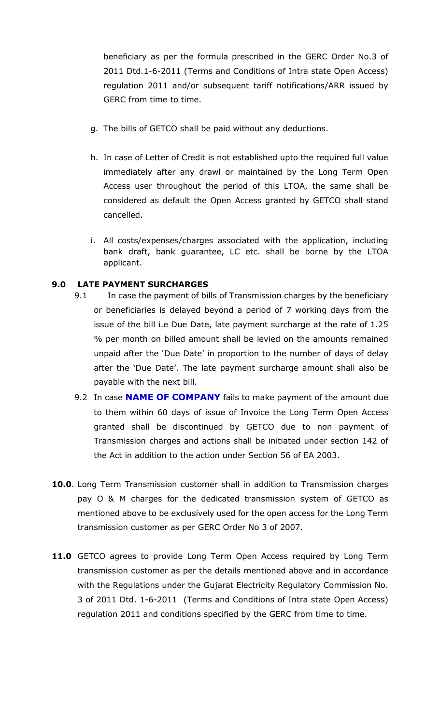beneficiary as per the formula prescribed in the GERC Order No.3 of 2011 Dtd.1-6-2011 (Terms and Conditions of Intra state Open Access) regulation 2011 and/or subsequent tariff notifications/ARR issued by GERC from time to time.

- g. The bills of GETCO shall be paid without any deductions.
- h. In case of Letter of Credit is not established upto the required full value immediately after any drawl or maintained by the Long Term Open Access user throughout the period of this LTOA, the same shall be considered as default the Open Access granted by GETCO shall stand cancelled.
- i. All costs/expenses/charges associated with the application, including bank draft, bank guarantee, LC etc. shall be borne by the LTOA applicant.

### 9.0 LATE PAYMENT SURCHARGES

- 9.1 In case the payment of bills of Transmission charges by the beneficiary or beneficiaries is delayed beyond a period of 7 working days from the issue of the bill i.e Due Date, late payment surcharge at the rate of 1.25 % per month on billed amount shall be levied on the amounts remained unpaid after the 'Due Date' in proportion to the number of days of delay after the 'Due Date'. The late payment surcharge amount shall also be payable with the next bill.
- 9.2 In case **NAME OF COMPANY** fails to make payment of the amount due to them within 60 days of issue of Invoice the Long Term Open Access granted shall be discontinued by GETCO due to non payment of Transmission charges and actions shall be initiated under section 142 of the Act in addition to the action under Section 56 of EA 2003.
- 10.0. Long Term Transmission customer shall in addition to Transmission charges pay O & M charges for the dedicated transmission system of GETCO as mentioned above to be exclusively used for the open access for the Long Term transmission customer as per GERC Order No 3 of 2007.
- 11.0 GETCO agrees to provide Long Term Open Access required by Long Term transmission customer as per the details mentioned above and in accordance with the Regulations under the Gujarat Electricity Regulatory Commission No. 3 of 2011 Dtd. 1-6-2011 (Terms and Conditions of Intra state Open Access) regulation 2011 and conditions specified by the GERC from time to time.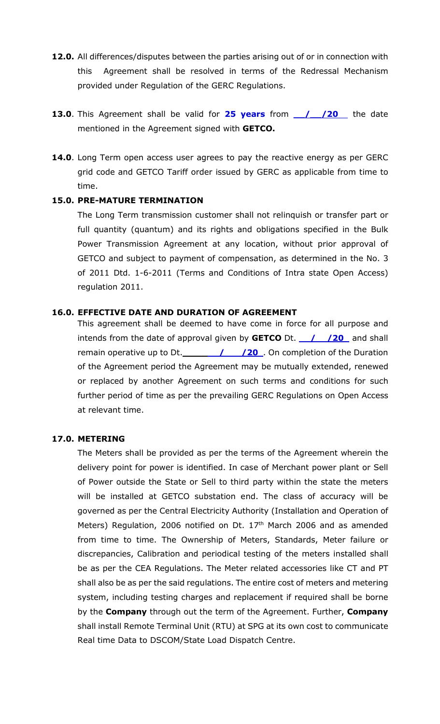- 12.0. All differences/disputes between the parties arising out of or in connection with this Agreement shall be resolved in terms of the Redressal Mechanism provided under Regulation of the GERC Regulations.
- 13.0. This Agreement shall be valid for 25 years from 1/20 the date mentioned in the Agreement signed with **GETCO.**
- 14.0. Long Term open access user agrees to pay the reactive energy as per GERC grid code and GETCO Tariff order issued by GERC as applicable from time to time.

### 15.0. PRE-MATURE TERMINATION

The Long Term transmission customer shall not relinquish or transfer part or full quantity (quantum) and its rights and obligations specified in the Bulk Power Transmission Agreement at any location, without prior approval of GETCO and subject to payment of compensation, as determined in the No. 3 of 2011 Dtd. 1-6-2011 (Terms and Conditions of Intra state Open Access) regulation 2011.

#### 16.0. EFFECTIVE DATE AND DURATION OF AGREEMENT

This agreement shall be deemed to have come in force for all purpose and intends from the date of approval given by **GETCO** Dt.  $\angle$  /20 and shall remain operative up to Dt.  $\frac{1}{\sqrt{20}}$  On completion of the Duration of the Agreement period the Agreement may be mutually extended, renewed or replaced by another Agreement on such terms and conditions for such further period of time as per the prevailing GERC Regulations on Open Access at relevant time.

#### 17.0. METERING

The Meters shall be provided as per the terms of the Agreement wherein the delivery point for power is identified. In case of Merchant power plant or Sell of Power outside the State or Sell to third party within the state the meters will be installed at GETCO substation end. The class of accuracy will be governed as per the Central Electricity Authority (Installation and Operation of Meters) Regulation, 2006 notified on Dt. 17<sup>th</sup> March 2006 and as amended from time to time. The Ownership of Meters, Standards, Meter failure or discrepancies, Calibration and periodical testing of the meters installed shall be as per the CEA Regulations. The Meter related accessories like CT and PT shall also be as per the said regulations. The entire cost of meters and metering system, including testing charges and replacement if required shall be borne by the **Company** through out the term of the Agreement. Further, **Company** shall install Remote Terminal Unit (RTU) at SPG at its own cost to communicate Real time Data to DSCOM/State Load Dispatch Centre.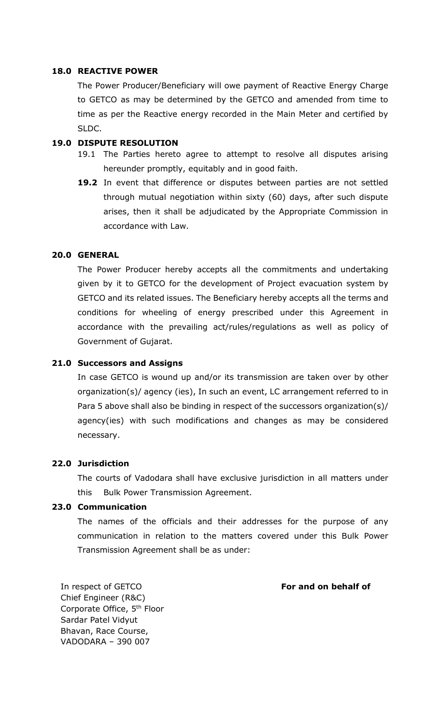#### 18.0 REACTIVE POWER

The Power Producer/Beneficiary will owe payment of Reactive Energy Charge to GETCO as may be determined by the GETCO and amended from time to time as per the Reactive energy recorded in the Main Meter and certified by SLDC.

#### 19.0 DISPUTE RESOLUTION

- 19.1 The Parties hereto agree to attempt to resolve all disputes arising hereunder promptly, equitably and in good faith.
- 19.2 In event that difference or disputes between parties are not settled through mutual negotiation within sixty (60) days, after such dispute arises, then it shall be adjudicated by the Appropriate Commission in accordance with Law.

## 20.0 GENERAL

The Power Producer hereby accepts all the commitments and undertaking given by it to GETCO for the development of Project evacuation system by GETCO and its related issues. The Beneficiary hereby accepts all the terms and conditions for wheeling of energy prescribed under this Agreement in accordance with the prevailing act/rules/regulations as well as policy of Government of Gujarat.

#### 21.0 Successors and Assigns

In case GETCO is wound up and/or its transmission are taken over by other organization(s)/ agency (ies), In such an event, LC arrangement referred to in Para 5 above shall also be binding in respect of the successors organization(s)/ agency(ies) with such modifications and changes as may be considered necessary.

#### 22.0 Jurisdiction

The courts of Vadodara shall have exclusive jurisdiction in all matters under this Bulk Power Transmission Agreement.

#### 23.0 Communication

The names of the officials and their addresses for the purpose of any communication in relation to the matters covered under this Bulk Power Transmission Agreement shall be as under:

In respect of GETCO Chief Engineer (R&C) Corporate Office, 5th Floor Sardar Patel Vidyut Bhavan, Race Course, VADODARA – 390 007

#### For and on behalf of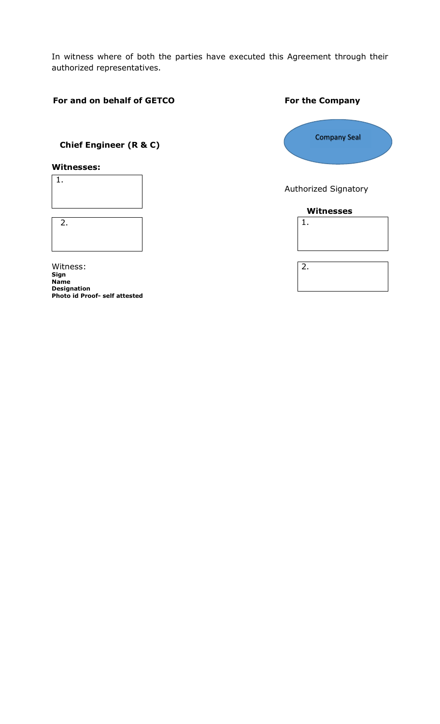In witness where of both the parties have executed this Agreement through their authorized representatives.

## For and on behalf of GETCO<br>
For the Company

# Chief Engineer (R & C)

### Witnesses:



| 2. |  |  |  |
|----|--|--|--|
|    |  |  |  |
|    |  |  |  |

Witness: Sign Name Designation Photo id Proof- self attested



Authorized Signatory

#### Witnesses



2.